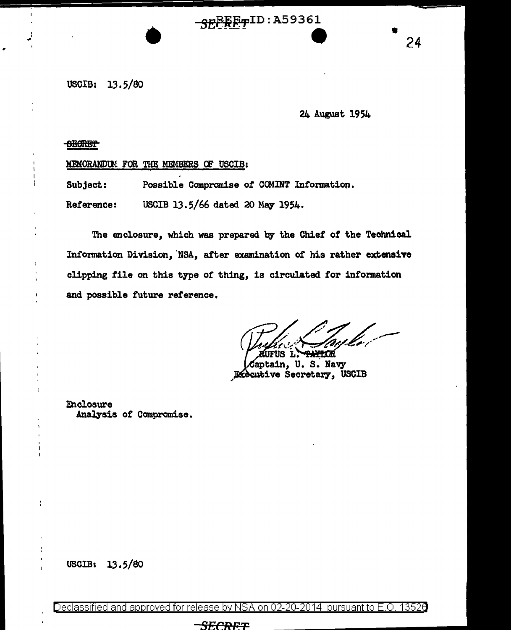$\overbrace{SE}^{\text{E}}$   $\overbrace{TP}^{\text{ID}:A59361}}$  24

USCIB: 13.5/80

24 August 1954

**BEGRET** 

I I

MEMORANDUM FOR THE MEMBERS OF USCIB:

Subject: Possible Compromise of COMINT Information.

Reference: USCIB 13.5/66 dated 20 May 1954.

The enclosure, which was prepared by the Chief *ot* the Technical Information Division, 'NSA, atter examination or his rather extensive clipping tile on this type of thing, is circulated for information and possible future reference,

/ *<i>/<sub>4</sub>* **//<sub>6</sub>** // *a// //*<br>*A*urus L. <del>PARIOR</del><br>*C*aptain, U. S. Navy

Captain, U.S. Navy<br>Riccutive Secretary, USCIB

**Enclosure** Analysis of Compromise.

USCIB: 13.5/80

Declassified and approved for release by NSA on 02-20-2014 pursuant to E.O. 1352e